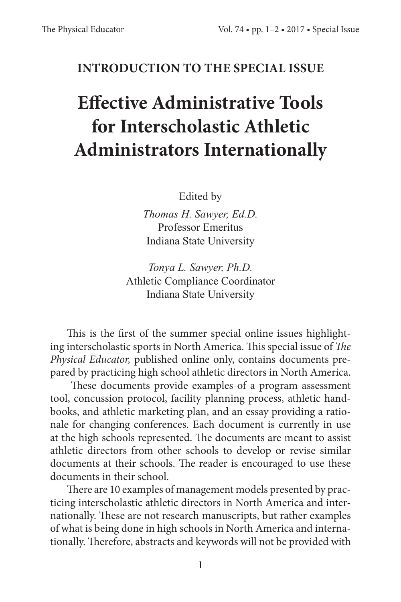## **INTRODUCTION TO THE SPECIAL ISSUE**

## **Effective Administrative Tools for Interscholastic Athletic Administrators Internationally**

Edited by

*Thomas H. Sawyer, Ed.D.* Professor Emeritus Indiana State University

*Tonya L. Sawyer, Ph.D.* Athletic Compliance Coordinator Indiana State University

This is the first of the summer special online issues highlighting interscholastic sports in North America. This special issue of *The Physical Educator,* published online only, contains documents prepared by practicing high school athletic directors in North America.

 These documents provide examples of a program assessment tool, concussion protocol, facility planning process, athletic handbooks, and athletic marketing plan, and an essay providing a rationale for changing conferences. Each document is currently in use at the high schools represented. The documents are meant to assist athletic directors from other schools to develop or revise similar documents at their schools. The reader is encouraged to use these documents in their school.

There are 10 examples of management models presented by practicing interscholastic athletic directors in North America and internationally. These are not research manuscripts, but rather examples of what is being done in high schools in North America and internationally. Therefore, abstracts and keywords will not be provided with